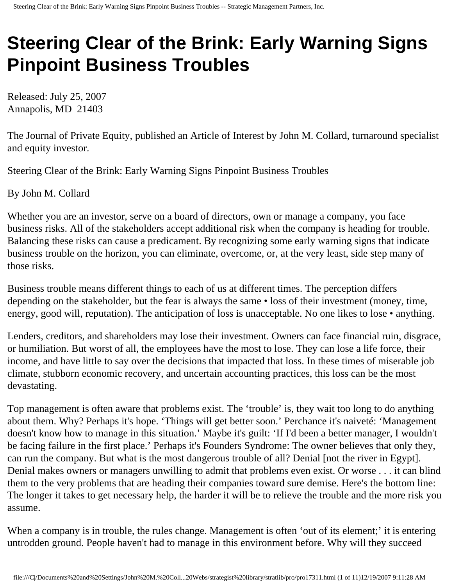# **Steering Clear of the Brink: Early Warning Signs Pinpoint Business Troubles**

Released: July 25, 2007 Annapolis, MD 21403

The Journal of Private Equity, published an Article of Interest by John M. Collard, turnaround specialist and equity investor.

Steering Clear of the Brink: Early Warning Signs Pinpoint Business Troubles

By John M. Collard

Whether you are an investor, serve on a board of directors, own or manage a company, you face business risks. All of the stakeholders accept additional risk when the company is heading for trouble. Balancing these risks can cause a predicament. By recognizing some early warning signs that indicate business trouble on the horizon, you can eliminate, overcome, or, at the very least, side step many of those risks.

Business trouble means different things to each of us at different times. The perception differs depending on the stakeholder, but the fear is always the same • loss of their investment (money, time, energy, good will, reputation). The anticipation of loss is unacceptable. No one likes to lose • anything.

Lenders, creditors, and shareholders may lose their investment. Owners can face financial ruin, disgrace, or humiliation. But worst of all, the employees have the most to lose. They can lose a life force, their income, and have little to say over the decisions that impacted that loss. In these times of miserable job climate, stubborn economic recovery, and uncertain accounting practices, this loss can be the most devastating.

Top management is often aware that problems exist. The 'trouble' is, they wait too long to do anything about them. Why? Perhaps it's hope. 'Things will get better soon.' Perchance it's naiveté: 'Management doesn't know how to manage in this situation.' Maybe it's guilt: 'If I'd been a better manager, I wouldn't be facing failure in the first place.' Perhaps it's Founders Syndrome: The owner believes that only they, can run the company. But what is the most dangerous trouble of all? Denial [not the river in Egypt]. Denial makes owners or managers unwilling to admit that problems even exist. Or worse . . . it can blind them to the very problems that are heading their companies toward sure demise. Here's the bottom line: The longer it takes to get necessary help, the harder it will be to relieve the trouble and the more risk you assume.

When a company is in trouble, the rules change. Management is often 'out of its element;' it is entering untrodden ground. People haven't had to manage in this environment before. Why will they succeed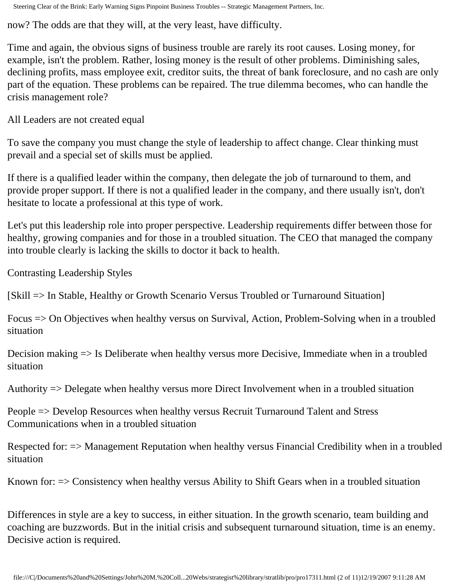now? The odds are that they will, at the very least, have difficulty.

Time and again, the obvious signs of business trouble are rarely its root causes. Losing money, for example, isn't the problem. Rather, losing money is the result of other problems. Diminishing sales, declining profits, mass employee exit, creditor suits, the threat of bank foreclosure, and no cash are only part of the equation. These problems can be repaired. The true dilemma becomes, who can handle the crisis management role?

All Leaders are not created equal

To save the company you must change the style of leadership to affect change. Clear thinking must prevail and a special set of skills must be applied.

If there is a qualified leader within the company, then delegate the job of turnaround to them, and provide proper support. If there is not a qualified leader in the company, and there usually isn't, don't hesitate to locate a professional at this type of work.

Let's put this leadership role into proper perspective. Leadership requirements differ between those for healthy, growing companies and for those in a troubled situation. The CEO that managed the company into trouble clearly is lacking the skills to doctor it back to health.

Contrasting Leadership Styles

[Skill => In Stable, Healthy or Growth Scenario Versus Troubled or Turnaround Situation]

Focus => On Objectives when healthy versus on Survival, Action, Problem-Solving when in a troubled situation

Decision making => Is Deliberate when healthy versus more Decisive, Immediate when in a troubled situation

Authority => Delegate when healthy versus more Direct Involvement when in a troubled situation

People => Develop Resources when healthy versus Recruit Turnaround Talent and Stress Communications when in a troubled situation

Respected for: => Management Reputation when healthy versus Financial Credibility when in a troubled situation

Known for: => Consistency when healthy versus Ability to Shift Gears when in a troubled situation

Differences in style are a key to success, in either situation. In the growth scenario, team building and coaching are buzzwords. But in the initial crisis and subsequent turnaround situation, time is an enemy. Decisive action is required.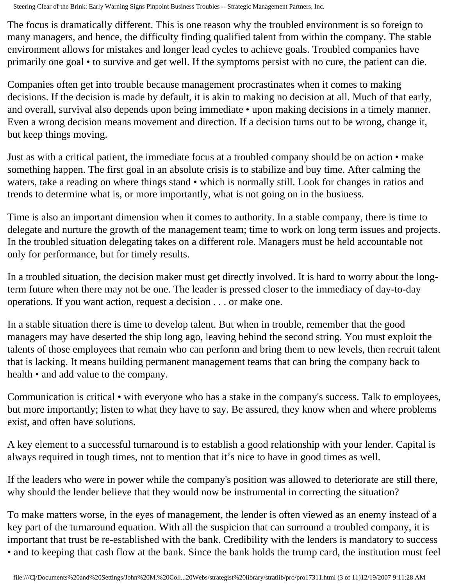The focus is dramatically different. This is one reason why the troubled environment is so foreign to many managers, and hence, the difficulty finding qualified talent from within the company. The stable environment allows for mistakes and longer lead cycles to achieve goals. Troubled companies have primarily one goal • to survive and get well. If the symptoms persist with no cure, the patient can die.

Companies often get into trouble because management procrastinates when it comes to making decisions. If the decision is made by default, it is akin to making no decision at all. Much of that early, and overall, survival also depends upon being immediate • upon making decisions in a timely manner. Even a wrong decision means movement and direction. If a decision turns out to be wrong, change it, but keep things moving.

Just as with a critical patient, the immediate focus at a troubled company should be on action • make something happen. The first goal in an absolute crisis is to stabilize and buy time. After calming the waters, take a reading on where things stand • which is normally still. Look for changes in ratios and trends to determine what is, or more importantly, what is not going on in the business.

Time is also an important dimension when it comes to authority. In a stable company, there is time to delegate and nurture the growth of the management team; time to work on long term issues and projects. In the troubled situation delegating takes on a different role. Managers must be held accountable not only for performance, but for timely results.

In a troubled situation, the decision maker must get directly involved. It is hard to worry about the longterm future when there may not be one. The leader is pressed closer to the immediacy of day-to-day operations. If you want action, request a decision . . . or make one.

In a stable situation there is time to develop talent. But when in trouble, remember that the good managers may have deserted the ship long ago, leaving behind the second string. You must exploit the talents of those employees that remain who can perform and bring them to new levels, then recruit talent that is lacking. It means building permanent management teams that can bring the company back to health • and add value to the company.

Communication is critical • with everyone who has a stake in the company's success. Talk to employees, but more importantly; listen to what they have to say. Be assured, they know when and where problems exist, and often have solutions.

A key element to a successful turnaround is to establish a good relationship with your lender. Capital is always required in tough times, not to mention that it's nice to have in good times as well.

If the leaders who were in power while the company's position was allowed to deteriorate are still there, why should the lender believe that they would now be instrumental in correcting the situation?

To make matters worse, in the eyes of management, the lender is often viewed as an enemy instead of a key part of the turnaround equation. With all the suspicion that can surround a troubled company, it is important that trust be re-established with the bank. Credibility with the lenders is mandatory to success • and to keeping that cash flow at the bank. Since the bank holds the trump card, the institution must feel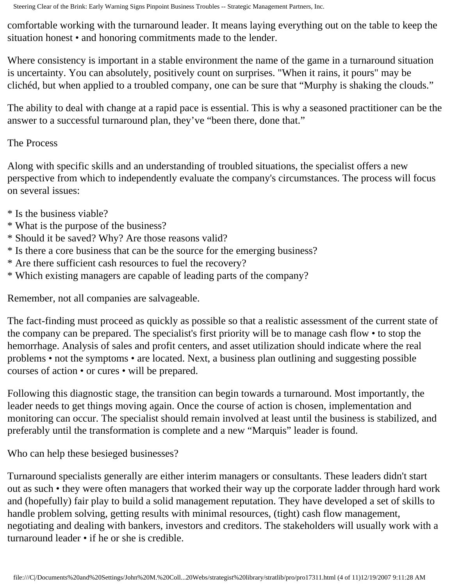comfortable working with the turnaround leader. It means laying everything out on the table to keep the situation honest • and honoring commitments made to the lender.

Where consistency is important in a stable environment the name of the game in a turnaround situation is uncertainty. You can absolutely, positively count on surprises. "When it rains, it pours" may be clichéd, but when applied to a troubled company, one can be sure that "Murphy is shaking the clouds."

The ability to deal with change at a rapid pace is essential. This is why a seasoned practitioner can be the answer to a successful turnaround plan, they've "been there, done that."

## The Process

Along with specific skills and an understanding of troubled situations, the specialist offers a new perspective from which to independently evaluate the company's circumstances. The process will focus on several issues:

- \* Is the business viable?
- \* What is the purpose of the business?
- \* Should it be saved? Why? Are those reasons valid?
- \* Is there a core business that can be the source for the emerging business?
- \* Are there sufficient cash resources to fuel the recovery?
- \* Which existing managers are capable of leading parts of the company?

Remember, not all companies are salvageable.

The fact-finding must proceed as quickly as possible so that a realistic assessment of the current state of the company can be prepared. The specialist's first priority will be to manage cash flow • to stop the hemorrhage. Analysis of sales and profit centers, and asset utilization should indicate where the real problems • not the symptoms • are located. Next, a business plan outlining and suggesting possible courses of action • or cures • will be prepared.

Following this diagnostic stage, the transition can begin towards a turnaround. Most importantly, the leader needs to get things moving again. Once the course of action is chosen, implementation and monitoring can occur. The specialist should remain involved at least until the business is stabilized, and preferably until the transformation is complete and a new "Marquis" leader is found.

Who can help these besieged businesses?

Turnaround specialists generally are either interim managers or consultants. These leaders didn't start out as such • they were often managers that worked their way up the corporate ladder through hard work and (hopefully) fair play to build a solid management reputation. They have developed a set of skills to handle problem solving, getting results with minimal resources, (tight) cash flow management, negotiating and dealing with bankers, investors and creditors. The stakeholders will usually work with a turnaround leader • if he or she is credible.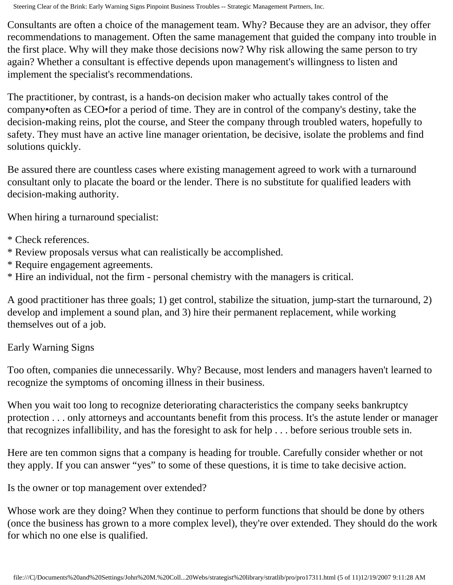Consultants are often a choice of the management team. Why? Because they are an advisor, they offer recommendations to management. Often the same management that guided the company into trouble in the first place. Why will they make those decisions now? Why risk allowing the same person to try again? Whether a consultant is effective depends upon management's willingness to listen and implement the specialist's recommendations.

The practitioner, by contrast, is a hands-on decision maker who actually takes control of the company•often as CEO•for a period of time. They are in control of the company's destiny, take the decision-making reins, plot the course, and Steer the company through troubled waters, hopefully to safety. They must have an active line manager orientation, be decisive, isolate the problems and find solutions quickly.

Be assured there are countless cases where existing management agreed to work with a turnaround consultant only to placate the board or the lender. There is no substitute for qualified leaders with decision-making authority.

When hiring a turnaround specialist:

- \* Check references.
- \* Review proposals versus what can realistically be accomplished.
- \* Require engagement agreements.
- \* Hire an individual, not the firm personal chemistry with the managers is critical.

A good practitioner has three goals; 1) get control, stabilize the situation, jump-start the turnaround, 2) develop and implement a sound plan, and 3) hire their permanent replacement, while working themselves out of a job.

### Early Warning Signs

Too often, companies die unnecessarily. Why? Because, most lenders and managers haven't learned to recognize the symptoms of oncoming illness in their business.

When you wait too long to recognize deteriorating characteristics the company seeks bankruptcy protection . . . only attorneys and accountants benefit from this process. It's the astute lender or manager that recognizes infallibility, and has the foresight to ask for help . . . before serious trouble sets in.

Here are ten common signs that a company is heading for trouble. Carefully consider whether or not they apply. If you can answer "yes" to some of these questions, it is time to take decisive action.

Is the owner or top management over extended?

Whose work are they doing? When they continue to perform functions that should be done by others (once the business has grown to a more complex level), they're over extended. They should do the work for which no one else is qualified.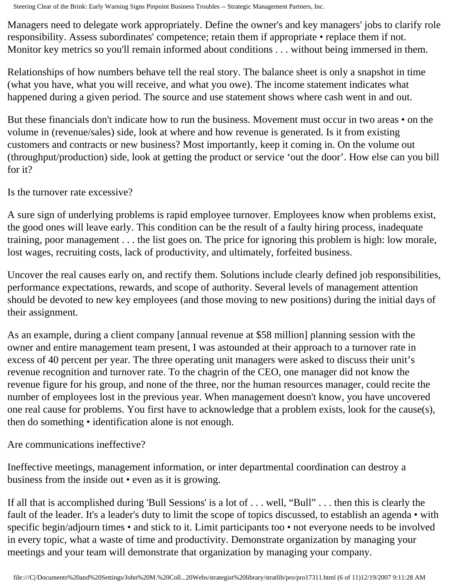Managers need to delegate work appropriately. Define the owner's and key managers' jobs to clarify role responsibility. Assess subordinates' competence; retain them if appropriate • replace them if not. Monitor key metrics so you'll remain informed about conditions . . . without being immersed in them.

Relationships of how numbers behave tell the real story. The balance sheet is only a snapshot in time (what you have, what you will receive, and what you owe). The income statement indicates what happened during a given period. The source and use statement shows where cash went in and out.

But these financials don't indicate how to run the business. Movement must occur in two areas • on the volume in (revenue/sales) side, look at where and how revenue is generated. Is it from existing customers and contracts or new business? Most importantly, keep it coming in. On the volume out (throughput/production) side, look at getting the product or service 'out the door'. How else can you bill for it?

Is the turnover rate excessive?

A sure sign of underlying problems is rapid employee turnover. Employees know when problems exist, the good ones will leave early. This condition can be the result of a faulty hiring process, inadequate training, poor management . . . the list goes on. The price for ignoring this problem is high: low morale, lost wages, recruiting costs, lack of productivity, and ultimately, forfeited business.

Uncover the real causes early on, and rectify them. Solutions include clearly defined job responsibilities, performance expectations, rewards, and scope of authority. Several levels of management attention should be devoted to new key employees (and those moving to new positions) during the initial days of their assignment.

As an example, during a client company [annual revenue at \$58 million] planning session with the owner and entire management team present, I was astounded at their approach to a turnover rate in excess of 40 percent per year. The three operating unit managers were asked to discuss their unit's revenue recognition and turnover rate. To the chagrin of the CEO, one manager did not know the revenue figure for his group, and none of the three, nor the human resources manager, could recite the number of employees lost in the previous year. When management doesn't know, you have uncovered one real cause for problems. You first have to acknowledge that a problem exists, look for the cause(s), then do something • identification alone is not enough.

Are communications ineffective?

Ineffective meetings, management information, or inter departmental coordination can destroy a business from the inside out • even as it is growing.

If all that is accomplished during 'Bull Sessions' is a lot of . . . well, "Bull" . . . then this is clearly the fault of the leader. It's a leader's duty to limit the scope of topics discussed, to establish an agenda • with specific begin/adjourn times • and stick to it. Limit participants too • not everyone needs to be involved in every topic, what a waste of time and productivity. Demonstrate organization by managing your meetings and your team will demonstrate that organization by managing your company.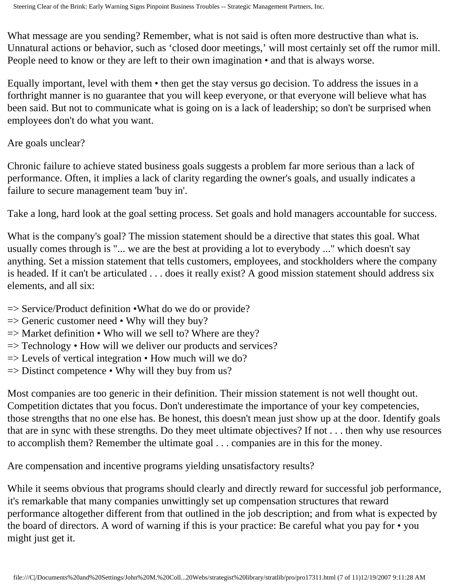What message are you sending? Remember, what is not said is often more destructive than what is. Unnatural actions or behavior, such as 'closed door meetings,' will most certainly set off the rumor mill. People need to know or they are left to their own imagination • and that is always worse.

Equally important, level with them • then get the stay versus go decision. To address the issues in a forthright manner is no guarantee that you will keep everyone, or that everyone will believe what has been said. But not to communicate what is going on is a lack of leadership; so don't be surprised when employees don't do what you want.

Are goals unclear?

Chronic failure to achieve stated business goals suggests a problem far more serious than a lack of performance. Often, it implies a lack of clarity regarding the owner's goals, and usually indicates a failure to secure management team 'buy in'.

Take a long, hard look at the goal setting process. Set goals and hold managers accountable for success.

What is the company's goal? The mission statement should be a directive that states this goal. What usually comes through is "... we are the best at providing a lot to everybody ..." which doesn't say anything. Set a mission statement that tells customers, employees, and stockholders where the company is headed. If it can't be articulated . . . does it really exist? A good mission statement should address six elements, and all six:

- => Service/Product definition •What do we do or provide?
- $\Rightarrow$  Generic customer need Why will they buy?
- => Market definition Who will we sell to? Where are they?
- $\Rightarrow$  Technology  $\bullet$  How will we deliver our products and services?
- $\Rightarrow$  Levels of vertical integration  $\bullet$  How much will we do?
- $\Rightarrow$  Distinct competence  $\bullet$  Why will they buy from us?

Most companies are too generic in their definition. Their mission statement is not well thought out. Competition dictates that you focus. Don't underestimate the importance of your key competencies, those strengths that no one else has. Be honest, this doesn't mean just show up at the door. Identify goals that are in sync with these strengths. Do they meet ultimate objectives? If not . . . then why use resources to accomplish them? Remember the ultimate goal . . . companies are in this for the money.

Are compensation and incentive programs yielding unsatisfactory results?

While it seems obvious that programs should clearly and directly reward for successful job performance, it's remarkable that many companies unwittingly set up compensation structures that reward performance altogether different from that outlined in the job description; and from what is expected by the board of directors. A word of warning if this is your practice: Be careful what you pay for • you might just get it.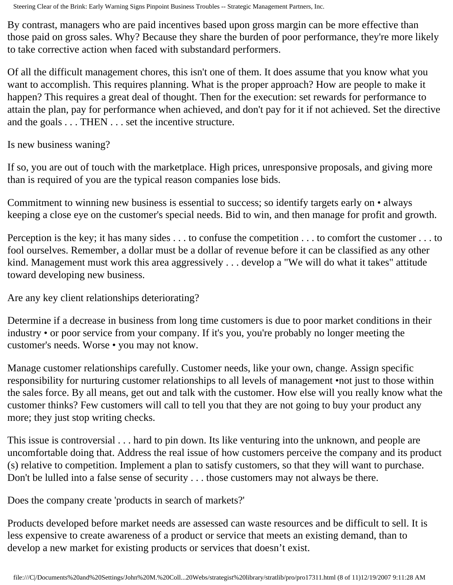By contrast, managers who are paid incentives based upon gross margin can be more effective than those paid on gross sales. Why? Because they share the burden of poor performance, they're more likely to take corrective action when faced with substandard performers.

Of all the difficult management chores, this isn't one of them. It does assume that you know what you want to accomplish. This requires planning. What is the proper approach? How are people to make it happen? This requires a great deal of thought. Then for the execution: set rewards for performance to attain the plan, pay for performance when achieved, and don't pay for it if not achieved. Set the directive and the goals . . . THEN . . . set the incentive structure.

Is new business waning?

If so, you are out of touch with the marketplace. High prices, unresponsive proposals, and giving more than is required of you are the typical reason companies lose bids.

Commitment to winning new business is essential to success; so identify targets early on • always keeping a close eye on the customer's special needs. Bid to win, and then manage for profit and growth.

Perception is the key; it has many sides . . . to confuse the competition . . . to comfort the customer . . . to fool ourselves. Remember, a dollar must be a dollar of revenue before it can be classified as any other kind. Management must work this area aggressively . . . develop a "We will do what it takes" attitude toward developing new business.

Are any key client relationships deteriorating?

Determine if a decrease in business from long time customers is due to poor market conditions in their industry • or poor service from your company. If it's you, you're probably no longer meeting the customer's needs. Worse • you may not know.

Manage customer relationships carefully. Customer needs, like your own, change. Assign specific responsibility for nurturing customer relationships to all levels of management •not just to those within the sales force. By all means, get out and talk with the customer. How else will you really know what the customer thinks? Few customers will call to tell you that they are not going to buy your product any more; they just stop writing checks.

This issue is controversial . . . hard to pin down. Its like venturing into the unknown, and people are uncomfortable doing that. Address the real issue of how customers perceive the company and its product (s) relative to competition. Implement a plan to satisfy customers, so that they will want to purchase. Don't be lulled into a false sense of security . . . those customers may not always be there.

Does the company create 'products in search of markets?'

Products developed before market needs are assessed can waste resources and be difficult to sell. It is less expensive to create awareness of a product or service that meets an existing demand, than to develop a new market for existing products or services that doesn't exist.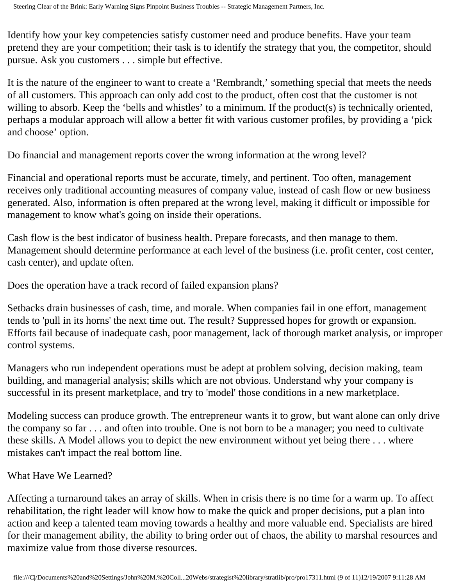Identify how your key competencies satisfy customer need and produce benefits. Have your team pretend they are your competition; their task is to identify the strategy that you, the competitor, should pursue. Ask you customers . . . simple but effective.

It is the nature of the engineer to want to create a 'Rembrandt,' something special that meets the needs of all customers. This approach can only add cost to the product, often cost that the customer is not willing to absorb. Keep the 'bells and whistles' to a minimum. If the product(s) is technically oriented, perhaps a modular approach will allow a better fit with various customer profiles, by providing a 'pick and choose' option.

Do financial and management reports cover the wrong information at the wrong level?

Financial and operational reports must be accurate, timely, and pertinent. Too often, management receives only traditional accounting measures of company value, instead of cash flow or new business generated. Also, information is often prepared at the wrong level, making it difficult or impossible for management to know what's going on inside their operations.

Cash flow is the best indicator of business health. Prepare forecasts, and then manage to them. Management should determine performance at each level of the business (i.e. profit center, cost center, cash center), and update often.

Does the operation have a track record of failed expansion plans?

Setbacks drain businesses of cash, time, and morale. When companies fail in one effort, management tends to 'pull in its horns' the next time out. The result? Suppressed hopes for growth or expansion. Efforts fail because of inadequate cash, poor management, lack of thorough market analysis, or improper control systems.

Managers who run independent operations must be adept at problem solving, decision making, team building, and managerial analysis; skills which are not obvious. Understand why your company is successful in its present marketplace, and try to 'model' those conditions in a new marketplace.

Modeling success can produce growth. The entrepreneur wants it to grow, but want alone can only drive the company so far . . . and often into trouble. One is not born to be a manager; you need to cultivate these skills. A Model allows you to depict the new environment without yet being there . . . where mistakes can't impact the real bottom line.

What Have We Learned?

Affecting a turnaround takes an array of skills. When in crisis there is no time for a warm up. To affect rehabilitation, the right leader will know how to make the quick and proper decisions, put a plan into action and keep a talented team moving towards a healthy and more valuable end. Specialists are hired for their management ability, the ability to bring order out of chaos, the ability to marshal resources and maximize value from those diverse resources.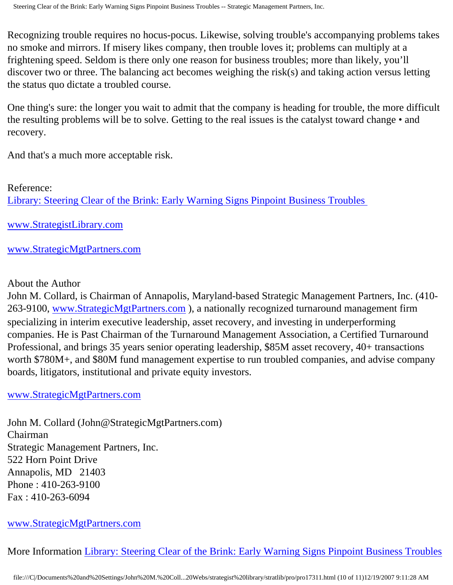Recognizing trouble requires no hocus-pocus. Likewise, solving trouble's accompanying problems takes no smoke and mirrors. If misery likes company, then trouble loves it; problems can multiply at a frightening speed. Seldom is there only one reason for business troubles; more than likely, you'll discover two or three. The balancing act becomes weighing the risk(s) and taking action versus letting the status quo dictate a troubled course.

One thing's sure: the longer you wait to admit that the company is heading for trouble, the more difficult the resulting problems will be to solve. Getting to the real issues is the catalyst toward change • and recovery.

And that's a much more acceptable risk.

Reference: [Library: Steering Clear of the Brink: Early Warning Signs Pinpoint Business Troubles](http://members.aol.com/stratlib2/jpe.html)

[www.StrategistLibrary.com](http://www.strategistlibrary.com/)

[www.StrategicMgtPartners.com](http://www.strategicmgtpartners.com/)

#### About the Author

John M. Collard, is Chairman of Annapolis, Maryland-based Strategic Management Partners, Inc. (410- 263-9100, [www.StrategicMgtPartners.com](http://www.strategicmgtpartners.com/) ), a nationally recognized turnaround management firm specializing in interim executive leadership, asset recovery, and investing in underperforming companies. He is Past Chairman of the Turnaround Management Association, a Certified Turnaround Professional, and brings 35 years senior operating leadership, \$85M asset recovery, 40+ transactions worth \$780M+, and \$80M fund management expertise to run troubled companies, and advise company boards, litigators, institutional and private equity investors.

[www.StrategicMgtPartners.com](http://www.strategicmgtpartners.com/)

John M. Collard (John@StrategicMgtPartners.com) Chairman Strategic Management Partners, Inc. 522 Horn Point Drive Annapolis, MD 21403 Phone : 410-263-9100 Fax : 410-263-6094

### [www.StrategicMgtPartners.com](http://www.strategicmgtpartners.com/)

More Information [Library: Steering Clear of the Brink: Early Warning Signs Pinpoint Business Troubles](http://members.aol.com/stratlib2/jpe.html)